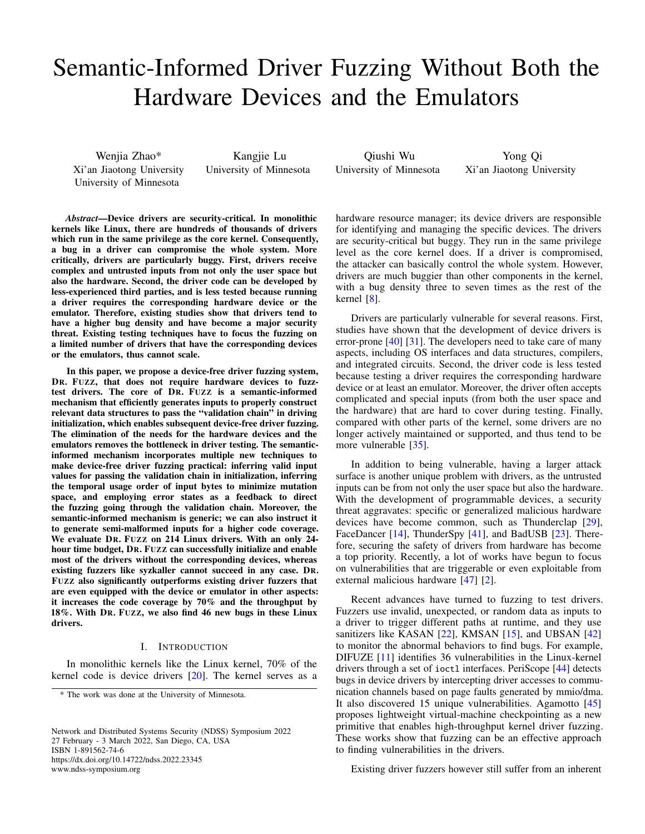# Semantic-Informed Driver Fuzzing Without Both the Hardware Devices and the Emulators

Wenjia Zhao\* Xi'an Jiaotong University University of Minnesota

Kangjie Lu University of Minnesota

*Abstract*—Device drivers are security-critical. In monolithic kernels like Linux, there are hundreds of thousands of drivers which run in the same privilege as the core kernel. Consequently, a bug in a driver can compromise the whole system. More critically, drivers are particularly buggy. First, drivers receive complex and untrusted inputs from not only the user space but also the hardware. Second, the driver code can be developed by less-experienced third parties, and is less tested because running a driver requires the corresponding hardware device or the emulator. Therefore, existing studies show that drivers tend to have a higher bug density and have become a major security threat. Existing testing techniques have to focus the fuzzing on a limited number of drivers that have the corresponding devices or the emulators, thus cannot scale.

In this paper, we propose a device-free driver fuzzing system, DR. FUZZ, that does not require hardware devices to fuzztest drivers. The core of DR. FUZZ is a semantic-informed mechanism that efficiently generates inputs to properly construct relevant data structures to pass the "validation chain" in driving initialization, which enables subsequent device-free driver fuzzing. The elimination of the needs for the hardware devices and the emulators removes the bottleneck in driver testing. The semanticinformed mechanism incorporates multiple new techniques to make device-free driver fuzzing practical: inferring valid input values for passing the validation chain in initialization, inferring the temporal usage order of input bytes to minimize mutation space, and employing error states as a feedback to direct the fuzzing going through the validation chain. Moreover, the semantic-informed mechanism is generic; we can also instruct it to generate semi-malformed inputs for a higher code coverage. We evaluate DR. FUZZ on 214 Linux drivers. With an only 24 hour time budget, DR. FUZZ can successfully initialize and enable most of the drivers without the corresponding devices, whereas existing fuzzers like syzkaller cannot succeed in any case. DR. FUZZ also significantly outperforms existing driver fuzzers that are even equipped with the device or emulator in other aspects: it increases the code coverage by 70% and the throughput by 18%. With DR. FUZZ, we also find 46 new bugs in these Linux drivers.

## I. INTRODUCTION

<span id="page-0-0"></span>In monolithic kernels like the Linux kernel, 70% of the kernel code is device drivers [\[20\]](#page-13-0). The kernel serves as a

Network and Distributed Systems Security (NDSS) Symposium 2022 27 February - 3 March 2022, San Diego, CA, USA ISBN 1-891562-74-6 https://dx.doi.org/10.14722/ndss.2022.23345 www.ndss-symposium.org

Qiushi Wu University of Minnesota

Yong Qi Xi'an Jiaotong University

hardware resource manager; its device drivers are responsible for identifying and managing the specific devices. The drivers are security-critical but buggy. They run in the same privilege level as the core kernel does. If a driver is compromised, the attacker can basically control the whole system. However, drivers are much buggier than other components in the kernel, with a bug density three to seven times as the rest of the kernel  $[8]$ .

Drivers are particularly vulnerable for several reasons. First, studies have shown that the development of device drivers is error-prone [\[40\]](#page-14-0) [\[31\]](#page-14-1). The developers need to take care of many aspects, including OS interfaces and data structures, compilers, and integrated circuits. Second, the driver code is less tested because testing a driver requires the corresponding hardware device or at least an emulator. Moreover, the driver often accepts complicated and special inputs (from both the user space and the hardware) that are hard to cover during testing. Finally, compared with other parts of the kernel, some drivers are no longer actively maintained or supported, and thus tend to be more vulnerable [\[35\]](#page-14-2).

In addition to being vulnerable, having a larger attack surface is another unique problem with drivers, as the untrusted inputs can be from not only the user space but also the hardware. With the development of programmable devices, a security threat aggravates: specific or generalized malicious hardware devices have become common, such as Thunderclap [\[29\]](#page-13-2), FaceDancer [\[14\]](#page-13-3), ThunderSpy [\[41\]](#page-14-3), and BadUSB [\[23\]](#page-13-4). Therefore, securing the safety of drivers from hardware has become a top priority. Recently, a lot of works have begun to focus on vulnerabilities that are triggerable or even exploitable from external malicious hardware [\[47\]](#page-14-4) [\[2\]](#page-12-0).

Recent advances have turned to fuzzing to test drivers. Fuzzers use invalid, unexpected, or random data as inputs to a driver to trigger different paths at runtime, and they use sanitizers like KASAN [\[22\]](#page-13-5), KMSAN [\[15\]](#page-13-6), and UBSAN [\[42\]](#page-14-5) to monitor the abnormal behaviors to find bugs. For example, DIFUZE [\[11\]](#page-13-7) identifies 36 vulnerabilities in the Linux-kernel drivers through a set of ioctl interfaces. PeriScope [\[44\]](#page-14-6) detects bugs in device drivers by intercepting driver accesses to communication channels based on page faults generated by mmio/dma. It also discovered 15 unique vulnerabilities. Agamotto [\[45\]](#page-14-7) proposes lightweight virtual-machine checkpointing as a new primitive that enables high-throughput kernel driver fuzzing. These works show that fuzzing can be an effective approach to finding vulnerabilities in the drivers.

Existing driver fuzzers however still suffer from an inherent

<sup>\*</sup> The work was done at the University of Minnesota.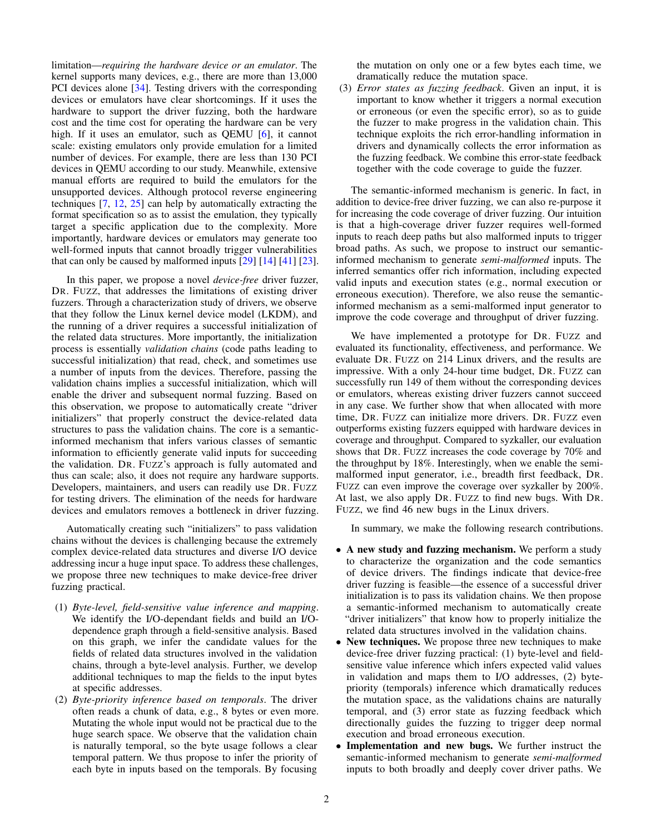limitation—*requiring the hardware device or an emulator*. The kernel supports many devices, e.g., there are more than 13,000 PCI devices alone [\[34\]](#page-14-8). Testing drivers with the corresponding devices or emulators have clear shortcomings. If it uses the hardware to support the driver fuzzing, both the hardware cost and the time cost for operating the hardware can be very high. If it uses an emulator, such as QEMU [\[6\]](#page-12-1), it cannot scale: existing emulators only provide emulation for a limited number of devices. For example, there are less than 130 PCI devices in QEMU according to our study. Meanwhile, extensive manual efforts are required to build the emulators for the unsupported devices. Although protocol reverse engineering techniques [\[7,](#page-12-2) [12,](#page-13-8) [25\]](#page-13-9) can help by automatically extracting the format specification so as to assist the emulation, they typically target a specific application due to the complexity. More importantly, hardware devices or emulators may generate too well-formed inputs that cannot broadly trigger vulnerabilities that can only be caused by malformed inputs [\[29\]](#page-13-2) [\[14\]](#page-13-3) [\[41\]](#page-14-3) [\[23\]](#page-13-4).

In this paper, we propose a novel *device-free* driver fuzzer, DR. FUZZ, that addresses the limitations of existing driver fuzzers. Through a characterization study of drivers, we observe that they follow the Linux kernel device model (LKDM), and the running of a driver requires a successful initialization of the related data structures. More importantly, the initialization process is essentially *validation chains* (code paths leading to successful initialization) that read, check, and sometimes use a number of inputs from the devices. Therefore, passing the validation chains implies a successful initialization, which will enable the driver and subsequent normal fuzzing. Based on this observation, we propose to automatically create "driver initializers" that properly construct the device-related data structures to pass the validation chains. The core is a semanticinformed mechanism that infers various classes of semantic information to efficiently generate valid inputs for succeeding the validation. DR. FUZZ's approach is fully automated and thus can scale; also, it does not require any hardware supports. Developers, maintainers, and users can readily use DR. FUZZ for testing drivers. The elimination of the needs for hardware devices and emulators removes a bottleneck in driver fuzzing.

Automatically creating such "initializers" to pass validation chains without the devices is challenging because the extremely complex device-related data structures and diverse I/O device addressing incur a huge input space. To address these challenges, we propose three new techniques to make device-free driver fuzzing practical.

- (1) *Byte-level, field-sensitive value inference and mapping*. We identify the I/O-dependant fields and build an I/Odependence graph through a field-sensitive analysis. Based on this graph, we infer the candidate values for the fields of related data structures involved in the validation chains, through a byte-level analysis. Further, we develop additional techniques to map the fields to the input bytes at specific addresses.
- (2) *Byte-priority inference based on temporals*. The driver often reads a chunk of data, e.g., 8 bytes or even more. Mutating the whole input would not be practical due to the huge search space. We observe that the validation chain is naturally temporal, so the byte usage follows a clear temporal pattern. We thus propose to infer the priority of each byte in inputs based on the temporals. By focusing

the mutation on only one or a few bytes each time, we dramatically reduce the mutation space.

(3) *Error states as fuzzing feedback*. Given an input, it is important to know whether it triggers a normal execution or erroneous (or even the specific error), so as to guide the fuzzer to make progress in the validation chain. This technique exploits the rich error-handling information in drivers and dynamically collects the error information as the fuzzing feedback. We combine this error-state feedback together with the code coverage to guide the fuzzer.

The semantic-informed mechanism is generic. In fact, in addition to device-free driver fuzzing, we can also re-purpose it for increasing the code coverage of driver fuzzing. Our intuition is that a high-coverage driver fuzzer requires well-formed inputs to reach deep paths but also malformed inputs to trigger broad paths. As such, we propose to instruct our semanticinformed mechanism to generate *semi-malformed* inputs. The inferred semantics offer rich information, including expected valid inputs and execution states (e.g., normal execution or erroneous execution). Therefore, we also reuse the semanticinformed mechanism as a semi-malformed input generator to improve the code coverage and throughput of driver fuzzing.

We have implemented a prototype for DR. FUZZ and evaluated its functionality, effectiveness, and performance. We evaluate DR. FUZZ on 214 Linux drivers, and the results are impressive. With a only 24-hour time budget, DR. FUZZ can successfully run 149 of them without the corresponding devices or emulators, whereas existing driver fuzzers cannot succeed in any case. We further show that when allocated with more time, DR. FUZZ can initialize more drivers. DR. FUZZ even outperforms existing fuzzers equipped with hardware devices in coverage and throughput. Compared to syzkaller, our evaluation shows that DR. FUZZ increases the code coverage by 70% and the throughput by 18%. Interestingly, when we enable the semimalformed input generator, i.e., breadth first feedback, DR. FUZZ can even improve the coverage over syzkaller by 200%. At last, we also apply DR. FUZZ to find new bugs. With DR. FUZZ, we find 46 new bugs in the Linux drivers.

In summary, we make the following research contributions.

- A new study and fuzzing mechanism. We perform a study to characterize the organization and the code semantics of device drivers. The findings indicate that device-free driver fuzzing is feasible—the essence of a successful driver initialization is to pass its validation chains. We then propose a semantic-informed mechanism to automatically create "driver initializers" that know how to properly initialize the related data structures involved in the validation chains.
- New techniques. We propose three new techniques to make device-free driver fuzzing practical: (1) byte-level and fieldsensitive value inference which infers expected valid values in validation and maps them to I/O addresses, (2) bytepriority (temporals) inference which dramatically reduces the mutation space, as the validations chains are naturally temporal, and (3) error state as fuzzing feedback which directionally guides the fuzzing to trigger deep normal execution and broad erroneous execution.
- Implementation and new bugs. We further instruct the semantic-informed mechanism to generate *semi-malformed* inputs to both broadly and deeply cover driver paths. We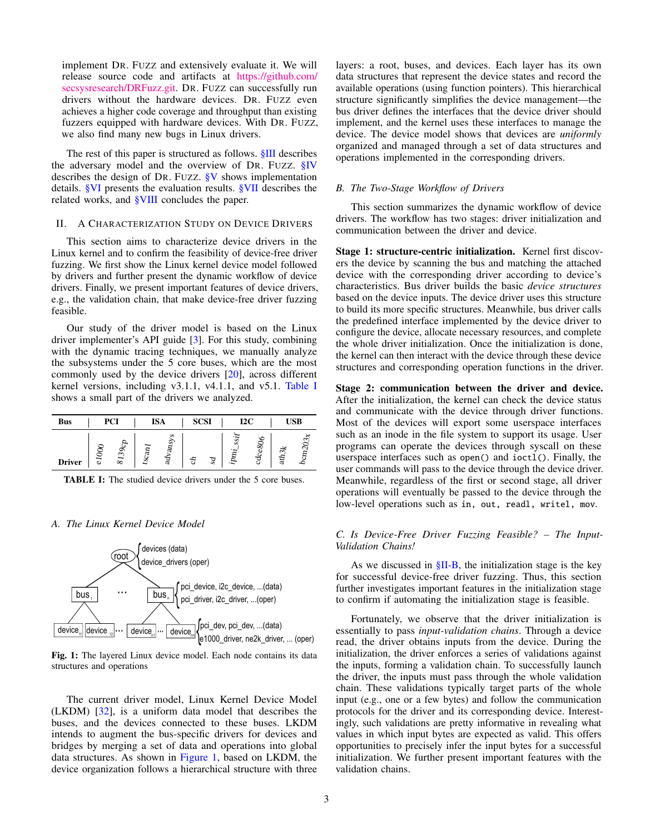implement DR. FUZZ and extensively evaluate it. We will release source code and artifacts at [https://github.com/](https://github.com/secsysresearch/DRFuzz.git) [secsysresearch/DRFuzz.git.](https://github.com/secsysresearch/DRFuzz.git) DR. FUZZ can successfully run drivers without the hardware devices. DR. FUZZ even achieves a higher code coverage and throughput than existing fuzzers equipped with hardware devices. With DR. FUZZ, we also find many new bugs in Linux drivers.

The rest of this paper is structured as follows. [§III](#page-4-0) describes the adversary model and the overview of DR. FUZZ.  $\S$ IV describes the design of DR. FUZZ. [§V](#page-8-0) shows implementation details. [§VI](#page-8-1) presents the evaluation results. [§VII](#page-11-0) describes the related works, and [§VIII](#page-12-3) concludes the paper.

#### <span id="page-2-3"></span>II. A CHARACTERIZATION STUDY ON DEVICE DRIVERS

This section aims to characterize device drivers in the Linux kernel and to confirm the feasibility of device-free driver fuzzing. We first show the Linux kernel device model followed by drivers and further present the dynamic workflow of device drivers. Finally, we present important features of device drivers, e.g., the validation chain, that make device-free driver fuzzing feasible.

Our study of the driver model is based on the Linux driver implementer's API guide [\[3\]](#page-12-4). For this study, combining with the dynamic tracing techniques, we manually analyze the subsystems under the 5 core buses, which are the most commonly used by the device drivers [\[20\]](#page-13-0), across different kernel versions, including v3.1.1, v4.1.1, and v5.1. [Table I](#page-2-0) shows a small part of the drivers we analyzed.

<span id="page-2-0"></span>

| <b>Bus</b>    |   | <b>PCI</b> |   | <b>ISA</b>     | <b>SCSI</b> |    | 12C        |              |      | <b>USB</b> |
|---------------|---|------------|---|----------------|-------------|----|------------|--------------|------|------------|
| <b>Driver</b> | 5 | O<br>8139  | š | ∽<br>ansy<br>ੜ | স্ত         | Sd | SSI)<br>ā. | ७<br>80<br>ಕ | ath3 | ج          |

TABLE I: The studied device drivers under the 5 core buses.

#### *A. The Linux Kernel Device Model*

<span id="page-2-1"></span>

Fig. 1: The layered Linux device model. Each node contains its data structures and operations

The current driver model, Linux Kernel Device Model (LKDM) [\[32\]](#page-14-9), is a uniform data model that describes the buses, and the devices connected to these buses. LKDM intends to augment the bus-specific drivers for devices and bridges by merging a set of data and operations into global data structures. As shown in [Figure 1,](#page-2-1) based on LKDM, the device organization follows a hierarchical structure with three layers: a root, buses, and devices. Each layer has its own data structures that represent the device states and record the available operations (using function pointers). This hierarchical structure significantly simplifies the device management—the bus driver defines the interfaces that the device driver should implement, and the kernel uses these interfaces to manage the device. The device model shows that devices are *uniformly* organized and managed through a set of data structures and operations implemented in the corresponding drivers.

#### <span id="page-2-2"></span>*B. The Two-Stage Workflow of Drivers*

This section summarizes the dynamic workflow of device drivers. The workflow has two stages: driver initialization and communication between the driver and device.

Stage 1: structure-centric initialization. Kernel first discovers the device by scanning the bus and matching the attached device with the corresponding driver according to device's characteristics. Bus driver builds the basic *device structures* based on the device inputs. The device driver uses this structure to build its more specific structures. Meanwhile, bus driver calls the predefined interface implemented by the device driver to configure the device, allocate necessary resources, and complete the whole driver initialization. Once the initialization is done, the kernel can then interact with the device through these device structures and corresponding operation functions in the driver.

user commands will pass to the device through the device driver. Stage 2: communication between the driver and device. After the initialization, the kernel can check the device status and communicate with the device through driver functions. Most of the devices will export some userspace interfaces such as an inode in the file system to support its usage. User programs can operate the devices through syscall on these userspace interfaces such as open() and ioctl(). Finally, the Meanwhile, regardless of the first or second stage, all driver operations will eventually be passed to the device through the low-level operations such as in, out, readl, writel, mov.

## <span id="page-2-4"></span>*C. Is Device-Free Driver Fuzzing Feasible? – The Input-Validation Chains!*

As we discussed in  $\S$ II-B, the initialization stage is the key for successful device-free driver fuzzing. Thus, this section further investigates important features in the initialization stage to confirm if automating the initialization stage is feasible.

Fortunately, we observe that the driver initialization is essentially to pass *input-validation chains*. Through a device read, the driver obtains inputs from the device. During the initialization, the driver enforces a series of validations against the inputs, forming a validation chain. To successfully launch the driver, the inputs must pass through the whole validation chain. These validations typically target parts of the whole input (e.g., one or a few bytes) and follow the communication protocols for the driver and its corresponding device. Interestingly, such validations are pretty informative in revealing what values in which input bytes are expected as valid. This offers opportunities to precisely infer the input bytes for a successful initialization. We further present important features with the validation chains.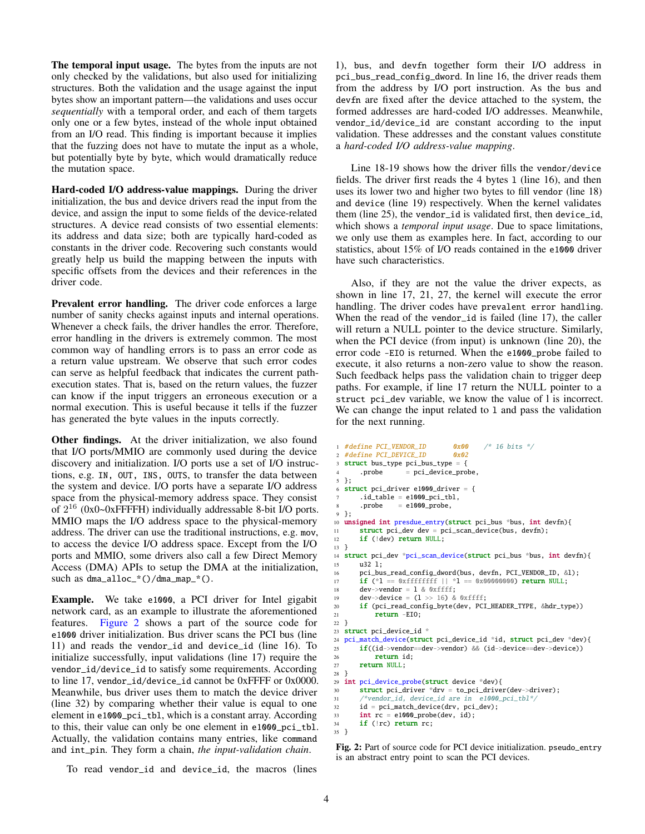The temporal input usage. The bytes from the inputs are not only checked by the validations, but also used for initializing structures. Both the validation and the usage against the input bytes show an important pattern—the validations and uses occur *sequentially* with a temporal order, and each of them targets only one or a few bytes, instead of the whole input obtained from an I/O read. This finding is important because it implies that the fuzzing does not have to mutate the input as a whole, but potentially byte by byte, which would dramatically reduce the mutation space.

Hard-coded I/O address-value mappings. During the driver initialization, the bus and device drivers read the input from the device, and assign the input to some fields of the device-related structures. A device read consists of two essential elements: its address and data size; both are typically hard-coded as constants in the driver code. Recovering such constants would greatly help us build the mapping between the inputs with specific offsets from the devices and their references in the driver code.

Prevalent error handling. The driver code enforces a large number of sanity checks against inputs and internal operations. Whenever a check fails, the driver handles the error. Therefore, error handling in the drivers is extremely common. The most common way of handling errors is to pass an error code as a return value upstream. We observe that such error codes can serve as helpful feedback that indicates the current pathexecution states. That is, based on the return values, the fuzzer can know if the input triggers an erroneous execution or a normal execution. This is useful because it tells if the fuzzer has generated the byte values in the inputs correctly.

**Other findings.** At the driver initialization, we also found that I/O ports/MMIO are commonly used during the device discovery and initialization. I/O ports use a set of I/O instructions, e.g. IN, OUT, INS, OUTS, to transfer the data between the system and device. I/O ports have a separate I/O address space from the physical-memory address space. They consist of 2 <sup>16</sup> (0x0~0xFFFFH) individually addressable 8-bit I/O ports. MMIO maps the I/O address space to the physical-memory address. The driver can use the traditional instructions, e.g. mov, to access the device I/O address space. Except from the I/O ports and MMIO, some drivers also call a few Direct Memory Access (DMA) APIs to setup the DMA at the initialization, such as dma\_alloc\_\*()/dma\_map\_\*().

Example. We take e1000, a PCI driver for Intel gigabit network card, as an example to illustrate the aforementioned features. [Figure 2](#page-3-0) shows a part of the source code for e1000 driver initialization. Bus driver scans the PCI bus (line 11) and reads the vendor\_id and device\_id (line 16). To initialize successfully, input validations (line 17) require the vendor\_id/device\_id to satisfy some requirements. According to line 17, vendor\_id/device\_id cannot be 0xFFFF or 0x0000. Meanwhile, bus driver uses them to match the device driver (line 32) by comparing whether their value is equal to one element in e1000\_pci\_tbl, which is a constant array. According to this, their value can only be one element in e1000\_pci\_tbl. Actually, the validation contains many entries, like command and int\_pin. They form a chain, *the input-validation chain*.

To read vendor\_id and device\_id, the macros (lines

1), bus, and devfn together form their I/O address in pci\_bus\_read\_config\_dword. In line 16, the driver reads them from the address by I/O port instruction. As the bus and devfn are fixed after the device attached to the system, the formed addresses are hard-coded I/O addresses. Meanwhile, vendor\_id/device\_id are constant according to the input validation. These addresses and the constant values constitute a *hard-coded I/O address-value mapping*.

Line 18-19 shows how the driver fills the vendor/device fields. The driver first reads the 4 bytes 1 (line 16), and then uses its lower two and higher two bytes to fill vendor (line 18) and device (line 19) respectively. When the kernel validates them (line 25), the vendor\_id is validated first, then device\_id, which shows a *temporal input usage*. Due to space limitations, we only use them as examples here. In fact, according to our statistics, about 15% of I/O reads contained in the e1000 driver have such characteristics.

Also, if they are not the value the driver expects, as shown in line 17, 21, 27, the kernel will execute the error handling. The driver codes have prevalent error handling. When the read of the vendor\_id is failed (line 17), the caller will return a NULL pointer to the device structure. Similarly, when the PCI device (from input) is unknown (line 20), the error code -EIO is returned. When the e1000\_probe failed to execute, it also returns a non-zero value to show the reason. Such feedback helps pass the validation chain to trigger deep paths. For example, if line 17 return the NULL pointer to a struct pci\_dev variable, we know the value of l is incorrect. We can change the input related to 1 and pass the validation for the next running.

```
1 #define PCI_VENDOR_ID 0x00 /* 16 bits */
2 #define PCI_DEVICE_ID 0x02
  struct bus_type pci_bus_type = {
       .probe = pci\_device\_probe,5 };
  struct pci_driver e1000_driver = {
       .id\_table = e1000\_pci\_tb1,.probe = e1000\_probe,9 };
10 unsigned int presdue_entry(struct pci_bus *bus, int devfn){<br>11 struct pci dev dev = pci scan device(bus, devfn):
       struct~pci\_dev~dev = pci\_scan\_device(bus,~devfn);12 if (!dev) return NULL;
13 }
14 struct pci_dev *pci_scan_device(struct pci_bus *bus, int devfn){
15 u32 1;<br>16 pci bu:
       pci_bus_read_config_dword(bus, devfn, PCI_VENDOR_ID, &l);
17 if (*1 == 0x fiffffff | \cdot \rangle^*1 == 0x00000000 return NULL;<br>18 dev->vendor = 1 & 0xffff:
       dev->vendor = 1 & 0xffff:
19 dev->device = (1 \gg 16) & 0xffff;
20 if (pci_read_config_byte(dev, PCI_HEADER_TYPE, &hdr_type))
21 return -EIO;
22 }
23 struct pci_device_id *<br>24 pci_match_device(struc
  24 pci_match_device(struct pci_device_id *id, struct pci_dev *dev){
25 if((id->vendor==dev->vendor) && (id->device==dev->device))
26 return id;
27 return NULL;
28 }
29 int pci_device_probe(struct device *dev){
30 struct pci_driver *drv = to_pci_driver(dev->driver);
31 /*vendor_id, device_id are in e1000_pci_tbl*/
32 id = pci_match_device(drv, pci_dev);
33 int rc = e1000_probe(dev, id);
34 if (!rc) return rc;
35 }
```
Fig. 2: Part of source code for PCI device initialization. pseudo\_entry is an abstract entry point to scan the PCI devices.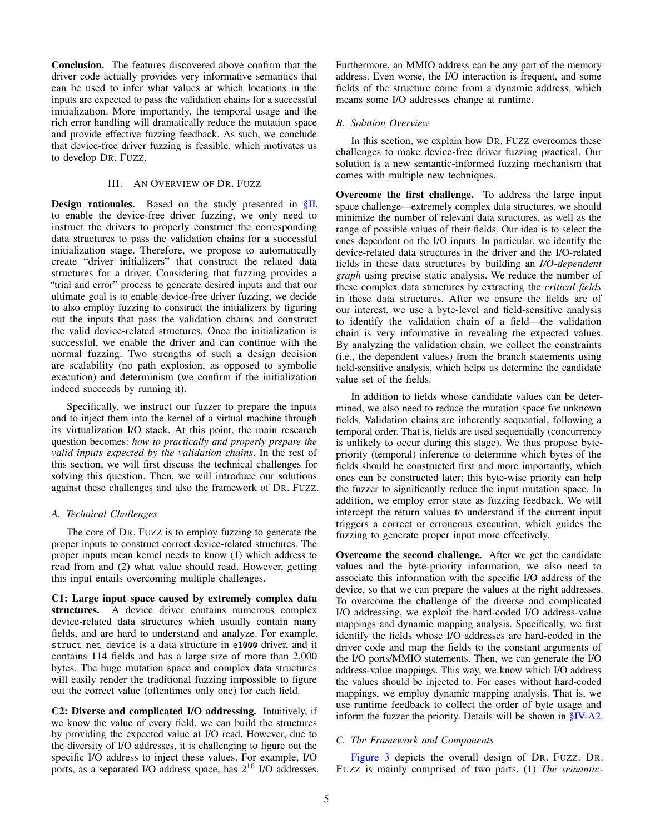Conclusion. The features discovered above confirm that the driver code actually provides very informative semantics that can be used to infer what values at which locations in the inputs are expected to pass the validation chains for a successful initialization. More importantly, the temporal usage and the rich error handling will dramatically reduce the mutation space and provide effective fuzzing feedback. As such, we conclude that device-free driver fuzzing is feasible, which motivates us to develop DR. FUZZ.

## III. AN OVERVIEW OF DR. FUZZ

<span id="page-4-0"></span>Design rationales. Based on the study presented in [§II,](#page-2-3) to enable the device-free driver fuzzing, we only need to instruct the drivers to properly construct the corresponding data structures to pass the validation chains for a successful initialization stage. Therefore, we propose to automatically create "driver initializers" that construct the related data structures for a driver. Considering that fuzzing provides a "trial and error" process to generate desired inputs and that our ultimate goal is to enable device-free driver fuzzing, we decide to also employ fuzzing to construct the initializers by figuring out the inputs that pass the validation chains and construct the valid device-related structures. Once the initialization is successful, we enable the driver and can continue with the normal fuzzing. Two strengths of such a design decision are scalability (no path explosion, as opposed to symbolic execution) and determinism (we confirm if the initialization indeed succeeds by running it).

Specifically, we instruct our fuzzer to prepare the inputs and to inject them into the kernel of a virtual machine through its virtualization I/O stack. At this point, the main research question becomes: *how to practically and properly prepare the valid inputs expected by the validation chains*. In the rest of this section, we will first discuss the technical challenges for solving this question. Then, we will introduce our solutions against these challenges and also the framework of DR. FUZZ.

#### *A. Technical Challenges*

The core of DR. FUZZ is to employ fuzzing to generate the proper inputs to construct correct device-related structures. The proper inputs mean kernel needs to know (1) which address to read from and (2) what value should read. However, getting this input entails overcoming multiple challenges.

C1: Large input space caused by extremely complex data structures. A device driver contains numerous complex device-related data structures which usually contain many fields, and are hard to understand and analyze. For example, struct net\_device is a data structure in e1000 driver, and it contains 114 fields and has a large size of more than 2,000 bytes. The huge mutation space and complex data structures will easily render the traditional fuzzing impossible to figure out the correct value (oftentimes only one) for each field.

C2: Diverse and complicated I/O addressing. Intuitively, if we know the value of every field, we can build the structures by providing the expected value at I/O read. However, due to the diversity of I/O addresses, it is challenging to figure out the specific I/O address to inject these values. For example, I/O ports, as a separated I/O address space, has 2 <sup>16</sup> I/O addresses. Furthermore, an MMIO address can be any part of the memory address. Even worse, the I/O interaction is frequent, and some fields of the structure come from a dynamic address, which means some I/O addresses change at runtime.

## *B. Solution Overview*

In this section, we explain how DR. FUZZ overcomes these challenges to make device-free driver fuzzing practical. Our solution is a new semantic-informed fuzzing mechanism that comes with multiple new techniques.

Overcome the first challenge. To address the large input space challenge—extremely complex data structures, we should minimize the number of relevant data structures, as well as the range of possible values of their fields. Our idea is to select the ones dependent on the I/O inputs. In particular, we identify the device-related data structures in the driver and the I/O-related fields in these data structures by building an *I/O-dependent graph* using precise static analysis. We reduce the number of these complex data structures by extracting the *critical fields* in these data structures. After we ensure the fields are of our interest, we use a byte-level and field-sensitive analysis to identify the validation chain of a field—the validation chain is very informative in revealing the expected values. By analyzing the validation chain, we collect the constraints (i.e., the dependent values) from the branch statements using field-sensitive analysis, which helps us determine the candidate value set of the fields.

In addition to fields whose candidate values can be determined, we also need to reduce the mutation space for unknown fields. Validation chains are inherently sequential, following a temporal order. That is, fields are used sequentially (concurrency is unlikely to occur during this stage). We thus propose bytepriority (temporal) inference to determine which bytes of the fields should be constructed first and more importantly, which ones can be constructed later; this byte-wise priority can help the fuzzer to significantly reduce the input mutation space. In addition, we employ error state as fuzzing feedback. We will intercept the return values to understand if the current input triggers a correct or erroneous execution, which guides the fuzzing to generate proper input more effectively.

Overcome the second challenge. After we get the candidate values and the byte-priority information, we also need to associate this information with the specific I/O address of the device, so that we can prepare the values at the right addresses. To overcome the challenge of the diverse and complicated I/O addressing, we exploit the hard-coded I/O address-value mappings and dynamic mapping analysis. Specifically, we first identify the fields whose I/O addresses are hard-coded in the driver code and map the fields to the constant arguments of the I/O ports/MMIO statements. Then, we can generate the I/O address-value mappings. This way, we know which I/O address the values should be injected to. For cases without hard-coded mappings, we employ dynamic mapping analysis. That is, we use runtime feedback to collect the order of byte usage and inform the fuzzer the priority. Details will be shown in [§IV-A2.](#page-6-0)

## *C. The Framework and Components*

[Figure 3](#page-5-1) depicts the overall design of DR. FUZZ. DR. FUZZ is mainly comprised of two parts. (1) *The semantic-*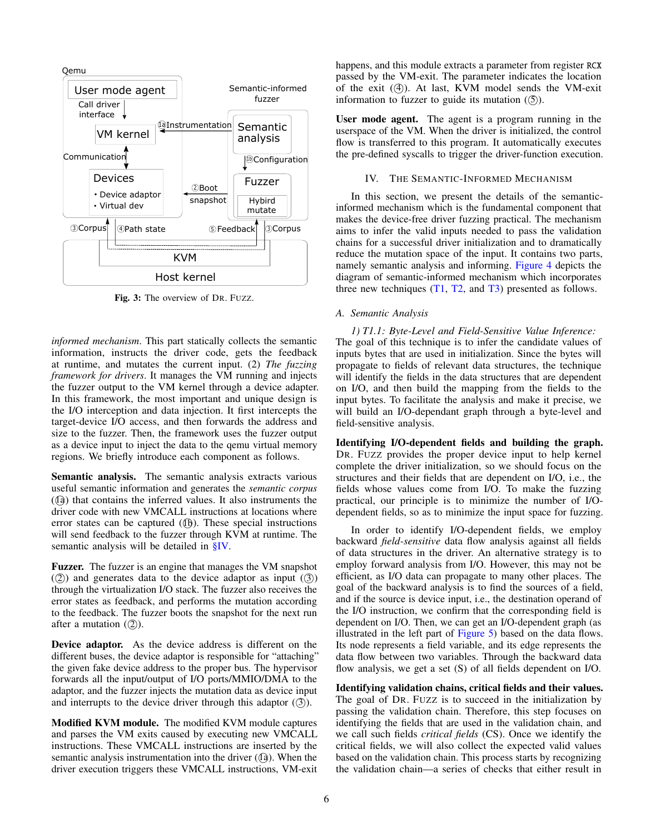<span id="page-5-1"></span>

Fig. 3: The overview of DR. FUZZ.

*informed mechanism*. This part statically collects the semantic information, instructs the driver code, gets the feedback at runtime, and mutates the current input. (2) *The fuzzing framework for drivers*. It manages the VM running and injects the fuzzer output to the VM kernel through a device adapter. In this framework, the most important and unique design is the I/O interception and data injection. It first intercepts the target-device I/O access, and then forwards the address and size to the fuzzer. Then, the framework uses the fuzzer output as a device input to inject the data to the qemu virtual memory regions. We briefly introduce each component as follows.

Semantic analysis. The semantic analysis extracts various useful semantic information and generates the *semantic corpus*  $($  $($  $)$  $)$  that contains the inferred values. It also instruments the driver code with new VMCALL instructions at locations where error states can be captured  $(\mathbb{q})$ . These special instructions will send feedback to the fuzzer through KVM at runtime. The semantic analysis will be detailed in [§IV.](#page-5-0)

Fuzzer. The fuzzer is an engine that manages the VM snapshot  $(2)$  and generates data to the device adaptor as input  $(3)$ through the virtualization I/O stack. The fuzzer also receives the error states as feedback, and performs the mutation according to the feedback. The fuzzer boots the snapshot for the next run after a mutation  $(2)$ ).

Device adaptor. As the device address is different on the different buses, the device adaptor is responsible for "attaching" the given fake device address to the proper bus. The hypervisor forwards all the input/output of I/O ports/MMIO/DMA to the adaptor, and the fuzzer injects the mutation data as device input and interrupts to the device driver through this adaptor  $(\textcircled{3})$ .

Modified KVM module. The modified KVM module captures and parses the VM exits caused by executing new VMCALL instructions. These VMCALL instructions are inserted by the semantic analysis instrumentation into the driver  $(\Omega)$ . When the driver execution triggers these VMCALL instructions, VM-exit happens, and this module extracts a parameter from register RCX passed by the VM-exit. The parameter indicates the location of the exit  $(4)$ ). At last, KVM model sends the VM-exit information to fuzzer to guide its mutation  $(5)$ .

User mode agent. The agent is a program running in the userspace of the VM. When the driver is initialized, the control flow is transferred to this program. It automatically executes the pre-defined syscalls to trigger the driver-function execution.

## IV. THE SEMANTIC-INFORMED MECHANISM

<span id="page-5-0"></span>In this section, we present the details of the semanticinformed mechanism which is the fundamental component that makes the device-free driver fuzzing practical. The mechanism aims to infer the valid inputs needed to pass the validation chains for a successful driver initialization and to dramatically reduce the mutation space of the input. It contains two parts, namely semantic analysis and informing. [Figure 4](#page-6-1) depicts the diagram of semantic-informed mechanism which incorporates three new techniques  $(T1, T2, and T3)$  $(T1, T2, and T3)$  $(T1, T2, and T3)$  $(T1, T2, and T3)$  $(T1, T2, and T3)$  presented as follows.

#### *A. Semantic Analysis*

<span id="page-5-2"></span>*1) T1.1: Byte-Level and Field-Sensitive Value Inference:* The goal of this technique is to infer the candidate values of inputs bytes that are used in initialization. Since the bytes will propagate to fields of relevant data structures, the technique will identify the fields in the data structures that are dependent on I/O, and then build the mapping from the fields to the input bytes. To facilitate the analysis and make it precise, we will build an I/O-dependant graph through a byte-level and field-sensitive analysis.

Identifying I/O-dependent fields and building the graph. DR. FUZZ provides the proper device input to help kernel complete the driver initialization, so we should focus on the structures and their fields that are dependent on I/O, i.e., the fields whose values come from I/O. To make the fuzzing practical, our principle is to minimize the number of I/Odependent fields, so as to minimize the input space for fuzzing.

In order to identify I/O-dependent fields, we employ backward *field-sensitive* data flow analysis against all fields of data structures in the driver. An alternative strategy is to employ forward analysis from I/O. However, this may not be efficient, as I/O data can propagate to many other places. The goal of the backward analysis is to find the sources of a field, and if the source is device input, i.e., the destination operand of the I/O instruction, we confirm that the corresponding field is dependent on I/O. Then, we can get an I/O-dependent graph (as illustrated in the left part of [Figure 5\)](#page-6-2) based on the data flows. Its node represents a field variable, and its edge represents the data flow between two variables. Through the backward data flow analysis, we get a set (S) of all fields dependent on I/O.

Identifying validation chains, critical fields and their values. The goal of DR. FUZZ is to succeed in the initialization by passing the validation chain. Therefore, this step focuses on identifying the fields that are used in the validation chain, and we call such fields *critical fields* (CS). Once we identify the critical fields, we will also collect the expected valid values based on the validation chain. This process starts by recognizing the validation chain—a series of checks that either result in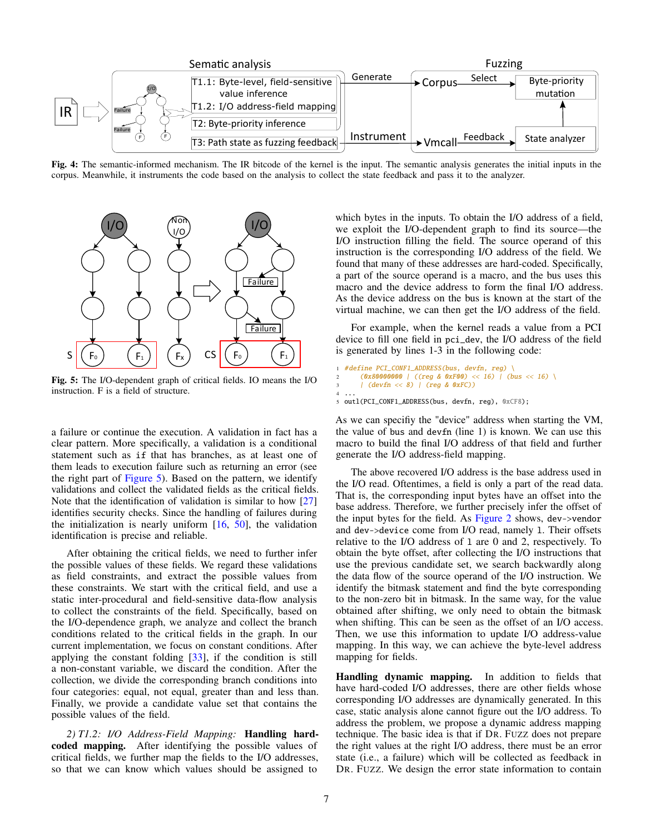<span id="page-6-1"></span>

Fig. 4: The semantic-informed mechanism. The IR bitcode of the kernel is the input. The semantic analysis generates the initial inputs in the corpus. Meanwhile, it instruments the code based on the analysis to collect the state feedback and pass it to the analyzer.

<span id="page-6-2"></span>

Fig. 5: The I/O-dependent graph of critical fields. IO means the I/O instruction. F is a field of structure.

a failure or continue the execution. A validation in fact has a clear pattern. More specifically, a validation is a conditional statement such as if that has branches, as at least one of them leads to execution failure such as returning an error (see the right part of [Figure 5\)](#page-6-2). Based on the pattern, we identify validations and collect the validated fields as the critical fields. Note that the identification of validation is similar to how [\[27\]](#page-13-10) identifies security checks. Since the handling of failures during the initialization is nearly uniform  $[16, 50]$  $[16, 50]$  $[16, 50]$ , the validation identification is precise and reliable.

After obtaining the critical fields, we need to further infer the possible values of these fields. We regard these validations as field constraints, and extract the possible values from these constraints. We start with the critical field, and use a static inter-procedural and field-sensitive data-flow analysis to collect the constraints of the field. Specifically, based on the I/O-dependence graph, we analyze and collect the branch conditions related to the critical fields in the graph. In our current implementation, we focus on constant conditions. After applying the constant folding [\[33\]](#page-14-11), if the condition is still a non-constant variable, we discard the condition. After the collection, we divide the corresponding branch conditions into four categories: equal, not equal, greater than and less than. Finally, we provide a candidate value set that contains the possible values of the field.

<span id="page-6-0"></span>*2) T1.2: I/O Address-Field Mapping:* Handling hardcoded mapping. After identifying the possible values of critical fields, we further map the fields to the I/O addresses, so that we can know which values should be assigned to

which bytes in the inputs. To obtain the I/O address of a field, we exploit the I/O-dependent graph to find its source—the I/O instruction filling the field. The source operand of this instruction is the corresponding I/O address of the field. We found that many of these addresses are hard-coded. Specifically, a part of the source operand is a macro, and the bus uses this macro and the device address to form the final I/O address. As the device address on the bus is known at the start of the virtual machine, we can then get the I/O address of the field.

For example, when the kernel reads a value from a PCI device to fill one field in pci\_dev, the I/O address of the field is generated by lines 1-3 in the following code:

```
#define PCI_CONF1_ADDRESS(bus, devfn, reg) \
       (0x80000000 | ((reg & 0xF00) << 16) | (bus << 16) )| (devfn \langle \langle 8 \rangle | (reg & 0xFC))
\overline{4}
```

```
5 outl(PCI_CONF1_ADDRESS(bus, devfn, reg), 0xCF8);
```
As we can specifiy the "device" address when starting the VM, the value of bus and devfn (line 1) is known. We can use this macro to build the final I/O address of that field and further generate the I/O address-field mapping.

The above recovered I/O address is the base address used in the I/O read. Oftentimes, a field is only a part of the read data. That is, the corresponding input bytes have an offset into the base address. Therefore, we further precisely infer the offset of the input bytes for the field. As [Figure 2](#page-3-0) shows, dev->vendor and dev->device come from I/O read, namely l. Their offsets relative to the I/O address of l are 0 and 2, respectively. To obtain the byte offset, after collecting the I/O instructions that use the previous candidate set, we search backwardly along the data flow of the source operand of the I/O instruction. We identify the bitmask statement and find the byte corresponding to the non-zero bit in bitmask. In the same way, for the value obtained after shifting, we only need to obtain the bitmask when shifting. This can be seen as the offset of an I/O access. Then, we use this information to update I/O address-value mapping. In this way, we can achieve the byte-level address mapping for fields.

Handling dynamic mapping. In addition to fields that have hard-coded I/O addresses, there are other fields whose corresponding I/O addresses are dynamically generated. In this case, static analysis alone cannot figure out the I/O address. To address the problem, we propose a dynamic address mapping technique. The basic idea is that if DR. FUZZ does not prepare the right values at the right I/O address, there must be an error state (i.e., a failure) which will be collected as feedback in DR. FUZZ. We design the error state information to contain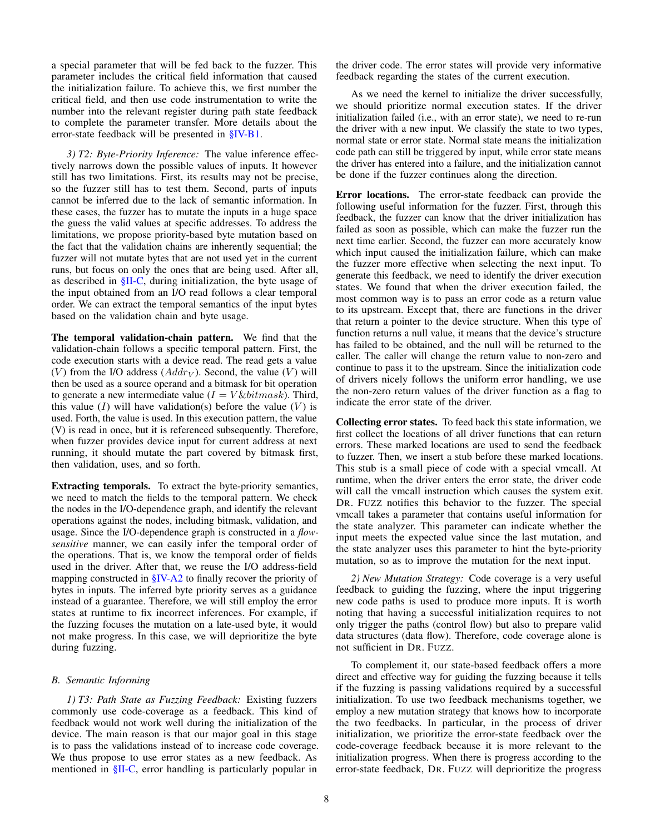a special parameter that will be fed back to the fuzzer. This parameter includes the critical field information that caused the initialization failure. To achieve this, we first number the critical field, and then use code instrumentation to write the number into the relevant register during path state feedback to complete the parameter transfer. More details about the error-state feedback will be presented in [§IV-B1.](#page-7-1)

<span id="page-7-0"></span>*3) T2: Byte-Priority Inference:* The value inference effectively narrows down the possible values of inputs. It however still has two limitations. First, its results may not be precise, so the fuzzer still has to test them. Second, parts of inputs cannot be inferred due to the lack of semantic information. In these cases, the fuzzer has to mutate the inputs in a huge space the guess the valid values at specific addresses. To address the limitations, we propose priority-based byte mutation based on the fact that the validation chains are inherently sequential; the fuzzer will not mutate bytes that are not used yet in the current runs, but focus on only the ones that are being used. After all, as described in [§II-C,](#page-2-4) during initialization, the byte usage of the input obtained from an I/O read follows a clear temporal order. We can extract the temporal semantics of the input bytes based on the validation chain and byte usage.

The temporal validation-chain pattern. We find that the validation-chain follows a specific temporal pattern. First, the code execution starts with a device read. The read gets a value (V) from the I/O address ( $Addr_V$ ). Second, the value (V) will then be used as a source operand and a bitmask for bit operation to generate a new intermediate value  $(I = V \& bitmask)$ . Third, this value  $(I)$  will have validation(s) before the value  $(V)$  is used. Forth, the value is used. In this execution pattern, the value (V) is read in once, but it is referenced subsequently. Therefore, when fuzzer provides device input for current address at next running, it should mutate the part covered by bitmask first, then validation, uses, and so forth.

Extracting temporals. To extract the byte-priority semantics, we need to match the fields to the temporal pattern. We check the nodes in the I/O-dependence graph, and identify the relevant operations against the nodes, including bitmask, validation, and usage. Since the I/O-dependence graph is constructed in a *flowsensitive* manner, we can easily infer the temporal order of the operations. That is, we know the temporal order of fields used in the driver. After that, we reuse the I/O address-field mapping constructed in [§IV-A2](#page-6-0) to finally recover the priority of bytes in inputs. The inferred byte priority serves as a guidance instead of a guarantee. Therefore, we will still employ the error states at runtime to fix incorrect inferences. For example, if the fuzzing focuses the mutation on a late-used byte, it would not make progress. In this case, we will deprioritize the byte during fuzzing.

#### <span id="page-7-1"></span>*B. Semantic Informing*

*1) T3: Path State as Fuzzing Feedback:* Existing fuzzers commonly use code-coverage as a feedback. This kind of feedback would not work well during the initialization of the device. The main reason is that our major goal in this stage is to pass the validations instead of to increase code coverage. We thus propose to use error states as a new feedback. As mentioned in  $\S$ II-C, error handling is particularly popular in

the driver code. The error states will provide very informative feedback regarding the states of the current execution.

As we need the kernel to initialize the driver successfully, we should prioritize normal execution states. If the driver initialization failed (i.e., with an error state), we need to re-run the driver with a new input. We classify the state to two types, normal state or error state. Normal state means the initialization code path can still be triggered by input, while error state means the driver has entered into a failure, and the initialization cannot be done if the fuzzer continues along the direction.

Error locations. The error-state feedback can provide the following useful information for the fuzzer. First, through this feedback, the fuzzer can know that the driver initialization has failed as soon as possible, which can make the fuzzer run the next time earlier. Second, the fuzzer can more accurately know which input caused the initialization failure, which can make the fuzzer more effective when selecting the next input. To generate this feedback, we need to identify the driver execution states. We found that when the driver execution failed, the most common way is to pass an error code as a return value to its upstream. Except that, there are functions in the driver that return a pointer to the device structure. When this type of function returns a null value, it means that the device's structure has failed to be obtained, and the null will be returned to the caller. The caller will change the return value to non-zero and continue to pass it to the upstream. Since the initialization code of drivers nicely follows the uniform error handling, we use the non-zero return values of the driver function as a flag to indicate the error state of the driver.

Collecting error states. To feed back this state information, we first collect the locations of all driver functions that can return errors. These marked locations are used to send the feedback to fuzzer. Then, we insert a stub before these marked locations. This stub is a small piece of code with a special vmcall. At runtime, when the driver enters the error state, the driver code will call the vmcall instruction which causes the system exit. DR. FUZZ notifies this behavior to the fuzzer. The special vmcall takes a parameter that contains useful information for the state analyzer. This parameter can indicate whether the input meets the expected value since the last mutation, and the state analyzer uses this parameter to hint the byte-priority mutation, so as to improve the mutation for the next input.

*2) New Mutation Strategy:* Code coverage is a very useful feedback to guiding the fuzzing, where the input triggering new code paths is used to produce more inputs. It is worth noting that having a successful initialization requires to not only trigger the paths (control flow) but also to prepare valid data structures (data flow). Therefore, code coverage alone is not sufficient in DR. FUZZ.

To complement it, our state-based feedback offers a more direct and effective way for guiding the fuzzing because it tells if the fuzzing is passing validations required by a successful initialization. To use two feedback mechanisms together, we employ a new mutation strategy that knows how to incorporate the two feedbacks. In particular, in the process of driver initialization, we prioritize the error-state feedback over the code-coverage feedback because it is more relevant to the initialization progress. When there is progress according to the error-state feedback, DR. FUZZ will deprioritize the progress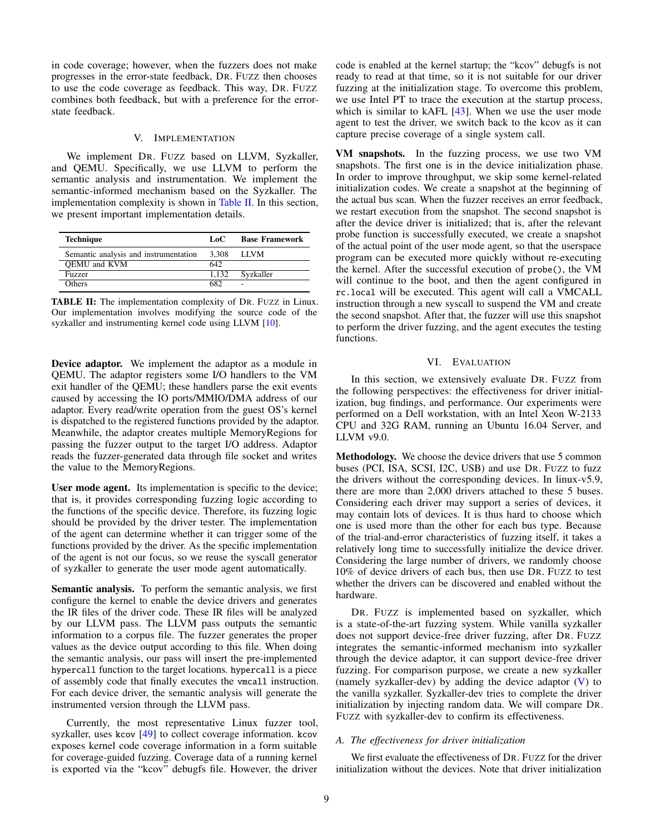in code coverage; however, when the fuzzers does not make progresses in the error-state feedback, DR. FUZZ then chooses to use the code coverage as feedback. This way, DR. FUZZ combines both feedback, but with a preference for the errorstate feedback.

## V. IMPLEMENTATION

<span id="page-8-0"></span>We implement DR. FUZZ based on LLVM, Syzkaller, and QEMU. Specifically, we use LLVM to perform the semantic analysis and instrumentation. We implement the semantic-informed mechanism based on the Syzkaller. The implementation complexity is shown in [Table II.](#page-8-2) In this section, we present important implementation details.

<span id="page-8-2"></span>

| <b>Technique</b>                      | LoC.  | <b>Base Framework</b> |
|---------------------------------------|-------|-----------------------|
| Semantic analysis and instrumentation | 3.308 | - LLVM                |
| OEMU and KVM                          | 642.  |                       |
| Fuzzer                                | 1.132 | Syzkaller             |
| <b>Others</b>                         | 682   |                       |

TABLE II: The implementation complexity of DR. FUZZ in Linux. Our implementation involves modifying the source code of the syzkaller and instrumenting kernel code using LLVM [\[10\]](#page-13-12).

Device adaptor. We implement the adaptor as a module in QEMU. The adaptor registers some I/O handlers to the VM exit handler of the QEMU; these handlers parse the exit events caused by accessing the IO ports/MMIO/DMA address of our adaptor. Every read/write operation from the guest OS's kernel is dispatched to the registered functions provided by the adaptor. Meanwhile, the adaptor creates multiple MemoryRegions for passing the fuzzer output to the target I/O address. Adaptor reads the fuzzer-generated data through file socket and writes the value to the MemoryRegions.

User mode agent. Its implementation is specific to the device; that is, it provides corresponding fuzzing logic according to the functions of the specific device. Therefore, its fuzzing logic should be provided by the driver tester. The implementation of the agent can determine whether it can trigger some of the functions provided by the driver. As the specific implementation of the agent is not our focus, so we reuse the syscall generator of syzkaller to generate the user mode agent automatically.

Semantic analysis. To perform the semantic analysis, we first configure the kernel to enable the device drivers and generates the IR files of the driver code. These IR files will be analyzed by our LLVM pass. The LLVM pass outputs the semantic information to a corpus file. The fuzzer generates the proper values as the device output according to this file. When doing the semantic analysis, our pass will insert the pre-implemented hypercall function to the target locations. hypercall is a piece of assembly code that finally executes the vmcall instruction. For each device driver, the semantic analysis will generate the instrumented version through the LLVM pass.

Currently, the most representative Linux fuzzer tool, syzkaller, uses kcov [\[49\]](#page-14-12) to collect coverage information. kcov exposes kernel code coverage information in a form suitable for coverage-guided fuzzing. Coverage data of a running kernel is exported via the "kcov" debugfs file. However, the driver

code is enabled at the kernel startup; the "kcov" debugfs is not ready to read at that time, so it is not suitable for our driver fuzzing at the initialization stage. To overcome this problem, we use Intel PT to trace the execution at the startup process, which is similar to kAFL [\[43\]](#page-14-13). When we use the user mode agent to test the driver, we switch back to the kcov as it can capture precise coverage of a single system call.

VM snapshots. In the fuzzing process, we use two VM snapshots. The first one is in the device initialization phase. In order to improve throughput, we skip some kernel-related initialization codes. We create a snapshot at the beginning of the actual bus scan. When the fuzzer receives an error feedback, we restart execution from the snapshot. The second snapshot is after the device driver is initialized; that is, after the relevant probe function is successfully executed, we create a snapshot of the actual point of the user mode agent, so that the userspace program can be executed more quickly without re-executing the kernel. After the successful execution of probe(), the VM will continue to the boot, and then the agent configured in rc.local will be executed. This agent will call a VMCALL instruction through a new syscall to suspend the VM and create the second snapshot. After that, the fuzzer will use this snapshot to perform the driver fuzzing, and the agent executes the testing functions.

# VI. EVALUATION

<span id="page-8-1"></span>In this section, we extensively evaluate DR. FUZZ from the following perspectives: the effectiveness for driver initialization, bug findings, and performance. Our experiments were performed on a Dell workstation, with an Intel Xeon W-2133 CPU and 32G RAM, running an Ubuntu 16.04 Server, and LLVM v9.0.

Methodology. We choose the device drivers that use 5 common buses (PCI, ISA, SCSI, I2C, USB) and use DR. FUZZ to fuzz the drivers without the corresponding devices. In linux-v5.9, there are more than 2,000 drivers attached to these 5 buses. Considering each driver may support a series of devices, it may contain lots of devices. It is thus hard to choose which one is used more than the other for each bus type. Because of the trial-and-error characteristics of fuzzing itself, it takes a relatively long time to successfully initialize the device driver. Considering the large number of drivers, we randomly choose 10% of device drivers of each bus, then use DR. FUZZ to test whether the drivers can be discovered and enabled without the hardware.

DR. FUZZ is implemented based on syzkaller, which is a state-of-the-art fuzzing system. While vanilla syzkaller does not support device-free driver fuzzing, after DR. FUZZ integrates the semantic-informed mechanism into syzkaller through the device adaptor, it can support device-free driver fuzzing. For comparison purpose, we create a new syzkaller (namely syzkaller-dev) by adding the device adaptor [\(V\)](#page-8-2) to the vanilla syzkaller. Syzkaller-dev tries to complete the driver initialization by injecting random data. We will compare DR. FUZZ with syzkaller-dev to confirm its effectiveness.

## *A. The effectiveness for driver initialization*

We first evaluate the effectiveness of DR. FUZZ for the driver initialization without the devices. Note that driver initialization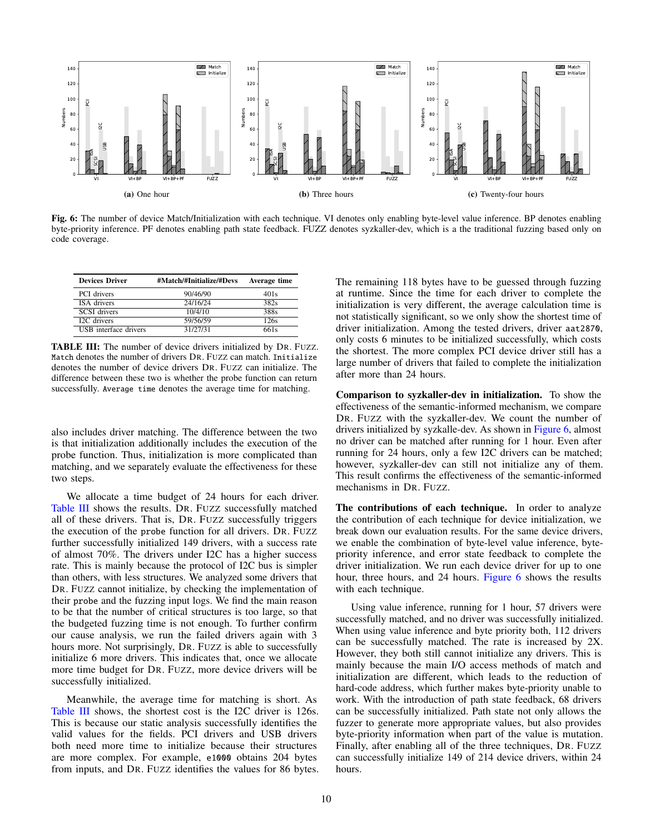<span id="page-9-1"></span>

Fig. 6: The number of device Match/Initialization with each technique. VI denotes only enabling byte-level value inference. BP denotes enabling byte-priority inference. PF denotes enabling path state feedback. FUZZ denotes syzkaller-dev, which is a the traditional fuzzing based only on code coverage.

<span id="page-9-0"></span>

| <b>Devices Driver</b>        | #Match/#Initialize/#Devs | Average time     |
|------------------------------|--------------------------|------------------|
| PCI drivers                  | 90/46/90                 | 401 <sub>s</sub> |
| ISA drivers                  | 24/16/24                 | 382s             |
| <b>SCSI</b> drivers          | 10/4/10                  | 388s             |
| I2C drivers                  | 59/56/59                 | 126s             |
| <b>USB</b> interface drivers | 31/27/31                 | 661 s            |

TABLE III: The number of device drivers initialized by DR. FUZZ. Match denotes the number of drivers DR. FUZZ can match. Initialize denotes the number of device drivers DR. FUZZ can initialize. The difference between these two is whether the probe function can return successfully. Average time denotes the average time for matching.

also includes driver matching. The difference between the two is that initialization additionally includes the execution of the probe function. Thus, initialization is more complicated than matching, and we separately evaluate the effectiveness for these two steps.

We allocate a time budget of 24 hours for each driver. [Table III](#page-9-0) shows the results. DR. FUZZ successfully matched all of these drivers. That is, DR. FUZZ successfully triggers the execution of the probe function for all drivers. DR. FUZZ further successfully initialized 149 drivers, with a success rate of almost 70%. The drivers under I2C has a higher success rate. This is mainly because the protocol of I2C bus is simpler than others, with less structures. We analyzed some drivers that DR. FUZZ cannot initialize, by checking the implementation of their probe and the fuzzing input logs. We find the main reason to be that the number of critical structures is too large, so that the budgeted fuzzing time is not enough. To further confirm our cause analysis, we run the failed drivers again with 3 hours more. Not surprisingly, DR. FUZZ is able to successfully initialize 6 more drivers. This indicates that, once we allocate more time budget for DR. FUZZ, more device drivers will be successfully initialized.

Meanwhile, the average time for matching is short. As [Table III](#page-9-0) shows, the shortest cost is the I2C driver is 126s. This is because our static analysis successfully identifies the valid values for the fields. PCI drivers and USB drivers both need more time to initialize because their structures are more complex. For example, e1000 obtains 204 bytes from inputs, and DR. FUZZ identifies the values for 86 bytes. The remaining 118 bytes have to be guessed through fuzzing at runtime. Since the time for each driver to complete the initialization is very different, the average calculation time is not statistically significant, so we only show the shortest time of driver initialization. Among the tested drivers, driver aat2870, only costs 6 minutes to be initialized successfully, which costs the shortest. The more complex PCI device driver still has a large number of drivers that failed to complete the initialization after more than 24 hours.

Comparison to syzkaller-dev in initialization. To show the effectiveness of the semantic-informed mechanism, we compare DR. FUZZ with the syzkaller-dev. We count the number of drivers initialized by syzkalle-dev. As shown in [Figure 6,](#page-9-1) almost no driver can be matched after running for 1 hour. Even after running for 24 hours, only a few I2C drivers can be matched; however, syzkaller-dev can still not initialize any of them. This result confirms the effectiveness of the semantic-informed mechanisms in DR. FUZZ.

The contributions of each technique. In order to analyze the contribution of each technique for device initialization, we break down our evaluation results. For the same device drivers, we enable the combination of byte-level value inference, bytepriority inference, and error state feedback to complete the driver initialization. We run each device driver for up to one hour, three hours, and 24 hours. [Figure 6](#page-9-1) shows the results with each technique.

Using value inference, running for 1 hour, 57 drivers were successfully matched, and no driver was successfully initialized. When using value inference and byte priority both, 112 drivers can be successfully matched. The rate is increased by 2X. However, they both still cannot initialize any drivers. This is mainly because the main I/O access methods of match and initialization are different, which leads to the reduction of hard-code address, which further makes byte-priority unable to work. With the introduction of path state feedback, 68 drivers can be successfully initialized. Path state not only allows the fuzzer to generate more appropriate values, but also provides byte-priority information when part of the value is mutation. Finally, after enabling all of the three techniques, DR. FUZZ can successfully initialize 149 of 214 device drivers, within 24 hours.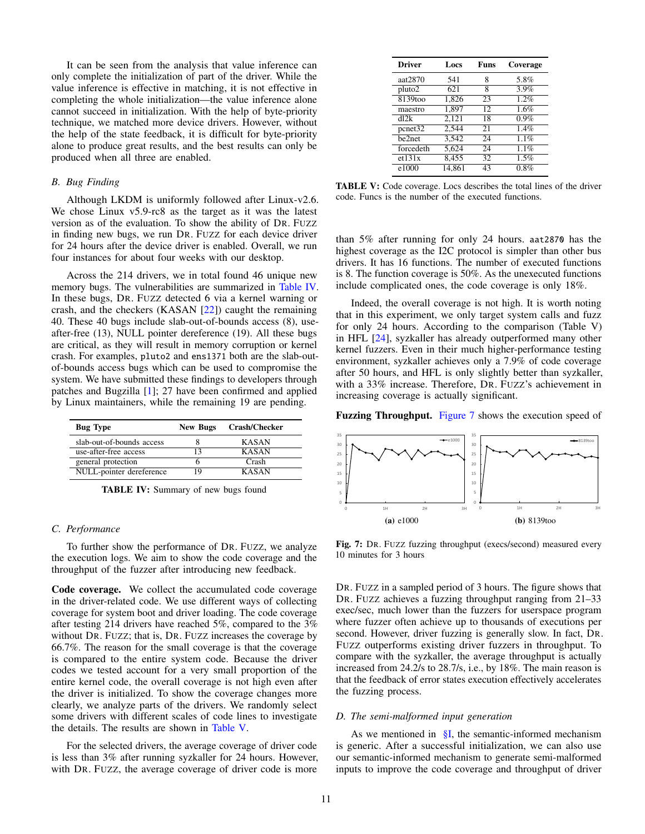It can be seen from the analysis that value inference can only complete the initialization of part of the driver. While the value inference is effective in matching, it is not effective in completing the whole initialization—the value inference alone cannot succeed in initialization. With the help of byte-priority technique, we matched more device drivers. However, without the help of the state feedback, it is difficult for byte-priority alone to produce great results, and the best results can only be produced when all three are enabled.

#### *B. Bug Finding*

Although LKDM is uniformly followed after Linux-v2.6. We chose Linux v5.9-rc8 as the target as it was the latest version as of the evaluation. To show the ability of DR. FUZZ in finding new bugs, we run DR. FUZZ for each device driver for 24 hours after the device driver is enabled. Overall, we run four instances for about four weeks with our desktop.

Across the 214 drivers, we in total found 46 unique new memory bugs. The vulnerabilities are summarized in [Table IV.](#page-10-0) In these bugs, DR. FUZZ detected 6 via a kernel warning or crash, and the checkers (KASAN [\[22\]](#page-13-5)) caught the remaining 40. These 40 bugs include slab-out-of-bounds access (8), useafter-free (13), NULL pointer dereference (19). All these bugs are critical, as they will result in memory corruption or kernel crash. For examples, pluto2 and ens1371 both are the slab-outof-bounds access bugs which can be used to compromise the system. We have submitted these findings to developers through patches and Bugzilla [\[1\]](#page-12-5); 27 have been confirmed and applied by Linux maintainers, while the remaining 19 are pending.

<span id="page-10-0"></span>

| <b>Bug</b> Type           | <b>New Bugs</b> | Crash/Checker |
|---------------------------|-----------------|---------------|
| slab-out-of-bounds access |                 | <b>KASAN</b>  |
| use-after-free access     |                 | <b>KASAN</b>  |
| general protection        |                 | Crash         |
| NULL-pointer dereference  |                 | <b>KASAN</b>  |

TABLE IV: Summary of new bugs found

#### *C. Performance*

To further show the performance of DR. FUZZ, we analyze the execution logs. We aim to show the code coverage and the throughput of the fuzzer after introducing new feedback.

Code coverage. We collect the accumulated code coverage in the driver-related code. We use different ways of collecting coverage for system boot and driver loading. The code coverage after testing 214 drivers have reached 5%, compared to the 3% without DR. FUZZ; that is, DR. FUZZ increases the coverage by 66.7%. The reason for the small coverage is that the coverage is compared to the entire system code. Because the driver codes we tested account for a very small proportion of the entire kernel code, the overall coverage is not high even after the driver is initialized. To show the coverage changes more clearly, we analyze parts of the drivers. We randomly select some drivers with different scales of code lines to investigate the details. The results are shown in [Table V.](#page-10-1)

For the selected drivers, the average coverage of driver code is less than 3% after running syzkaller for 24 hours. However, with DR. FUZZ, the average coverage of driver code is more

<span id="page-10-1"></span>

| <b>Driver</b>       | Locs   | Funs | Coverage |
|---------------------|--------|------|----------|
| aat2870             | 541    | 8    | 5.8%     |
| $pluto\overline{2}$ | 621    | 8    | 3.9%     |
| 8139too             | 1,826  | 23   | 1.2%     |
| maestro             | 1,897  | 12   | 1.6%     |
| dl2k                | 2,121  | 18   | 0.9%     |
| $p$ cnet $32$       | 2.544  | 21   | 1.4%     |
| be2net              | 3,542  | 24   | 1.1%     |
| forcedeth           | 5,624  | 24   | 1.1%     |
| et131x              | 8.455  | 32   | 1.5%     |
| e1000               | 14.861 | 43   | 0.8%     |

TABLE V: Code coverage. Locs describes the total lines of the driver code. Funcs is the number of the executed functions.

than 5% after running for only 24 hours. aat2870 has the highest coverage as the I2C protocol is simpler than other bus drivers. It has 16 functions. The number of executed functions is 8. The function coverage is 50%. As the unexecuted functions include complicated ones, the code coverage is only 18%.

Indeed, the overall coverage is not high. It is worth noting that in this experiment, we only target system calls and fuzz for only 24 hours. According to the comparison (Table V) in HFL [\[24\]](#page-13-13), syzkaller has already outperformed many other kernel fuzzers. Even in their much higher-performance testing environment, syzkaller achieves only a 7.9% of code coverage after 50 hours, and HFL is only slightly better than syzkaller, with a 33% increase. Therefore, DR. FUZZ's achievement in increasing coverage is actually significant.

Fuzzing Throughput. [Figure 7](#page-10-2) shows the execution speed of

<span id="page-10-2"></span>

Fig. 7: DR. FUZZ fuzzing throughput (execs/second) measured every 10 minutes for 3 hours

DR. FUZZ in a sampled period of 3 hours. The figure shows that DR. FUZZ achieves a fuzzing throughput ranging from 21–33 exec/sec, much lower than the fuzzers for userspace program where fuzzer often achieve up to thousands of executions per second. However, driver fuzzing is generally slow. In fact, DR. FUZZ outperforms existing driver fuzzers in throughput. To compare with the syzkaller, the average throughput is actually increased from 24.2/s to 28.7/s, i.e., by 18%. The main reason is that the feedback of error states execution effectively accelerates the fuzzing process.

#### *D. The semi-malformed input generation*

As we mentioned in  $\S I$ , the semantic-informed mechanism is generic. After a successful initialization, we can also use our semantic-informed mechanism to generate semi-malformed inputs to improve the code coverage and throughput of driver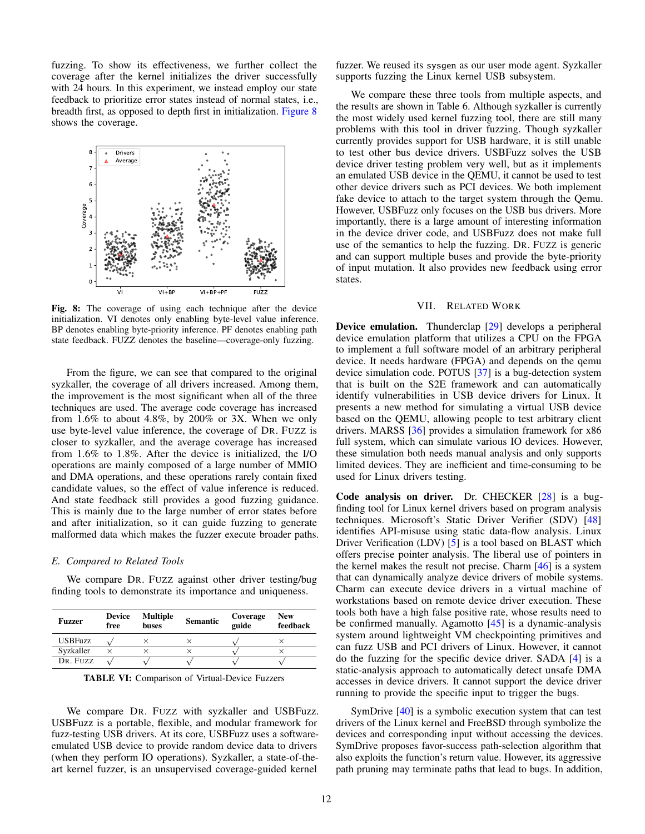fuzzing. To show its effectiveness, we further collect the coverage after the kernel initializes the driver successfully with 24 hours. In this experiment, we instead employ our state feedback to prioritize error states instead of normal states, i.e., breadth first, as opposed to depth first in initialization. [Figure 8](#page-11-1) shows the coverage.

<span id="page-11-1"></span>

Fig. 8: The coverage of using each technique after the device initialization. VI denotes only enabling byte-level value inference. BP denotes enabling byte-priority inference. PF denotes enabling path state feedback. FUZZ denotes the baseline—coverage-only fuzzing.

From the figure, we can see that compared to the original syzkaller, the coverage of all drivers increased. Among them, the improvement is the most significant when all of the three techniques are used. The average code coverage has increased from 1.6% to about 4.8%, by 200% or 3X. When we only use byte-level value inference, the coverage of DR. FUZZ is closer to syzkaller, and the average coverage has increased from 1.6% to 1.8%. After the device is initialized, the I/O operations are mainly composed of a large number of MMIO and DMA operations, and these operations rarely contain fixed candidate values, so the effect of value inference is reduced. And state feedback still provides a good fuzzing guidance. This is mainly due to the large number of error states before and after initialization, so it can guide fuzzing to generate malformed data which makes the fuzzer execute broader paths.

## *E. Compared to Related Tools*

We compare DR. FUZZ against other driver testing/bug finding tools to demonstrate its importance and uniqueness.

| Fuzzer         | <b>Device</b><br>free | <b>Multiple</b><br><b>buses</b> | <b>Semantic</b> | Coverage<br>guide | <b>New</b><br>feedback |
|----------------|-----------------------|---------------------------------|-----------------|-------------------|------------------------|
| <b>USBFuzz</b> |                       |                                 |                 |                   |                        |
| Svzkaller      |                       |                                 |                 |                   |                        |
| DR. FUZZ       |                       |                                 |                 |                   |                        |

TABLE VI: Comparison of Virtual-Device Fuzzers

We compare DR. FUZZ with syzkaller and USBFuzz. USBFuzz is a portable, flexible, and modular framework for fuzz-testing USB drivers. At its core, USBFuzz uses a softwareemulated USB device to provide random device data to drivers (when they perform IO operations). Syzkaller, a state-of-theart kernel fuzzer, is an unsupervised coverage-guided kernel

fuzzer. We reused its sysgen as our user mode agent. Syzkaller supports fuzzing the Linux kernel USB subsystem.

We compare these three tools from multiple aspects, and the results are shown in Table 6. Although syzkaller is currently the most widely used kernel fuzzing tool, there are still many problems with this tool in driver fuzzing. Though syzkaller currently provides support for USB hardware, it is still unable to test other bus device drivers. USBFuzz solves the USB device driver testing problem very well, but as it implements an emulated USB device in the QEMU, it cannot be used to test other device drivers such as PCI devices. We both implement fake device to attach to the target system through the Qemu. However, USBFuzz only focuses on the USB bus drivers. More importantly, there is a large amount of interesting information in the device driver code, and USBFuzz does not make full use of the semantics to help the fuzzing. DR. FUZZ is generic and can support multiple buses and provide the byte-priority of input mutation. It also provides new feedback using error states.

#### VII. RELATED WORK

<span id="page-11-0"></span>Device emulation. Thunderclap [\[29\]](#page-13-2) develops a peripheral device emulation platform that utilizes a CPU on the FPGA to implement a full software model of an arbitrary peripheral device. It needs hardware (FPGA) and depends on the qemu device simulation code. POTUS [\[37\]](#page-14-14) is a bug-detection system that is built on the S2E framework and can automatically identify vulnerabilities in USB device drivers for Linux. It presents a new method for simulating a virtual USB device based on the QEMU, allowing people to test arbitrary client drivers. MARSS [\[36\]](#page-14-15) provides a simulation framework for x86 full system, which can simulate various IO devices. However, these simulation both needs manual analysis and only supports limited devices. They are inefficient and time-consuming to be used for Linux drivers testing.

Code analysis on driver. Dr. CHECKER [\[28\]](#page-13-14) is a bugfinding tool for Linux kernel drivers based on program analysis techniques. Microsoft's Static Driver Verifier (SDV) [\[48\]](#page-14-16) identifies API-misuse using static data-flow analysis. Linux Driver Verification (LDV) [\[5\]](#page-12-6) is a tool based on BLAST which offers precise pointer analysis. The liberal use of pointers in the kernel makes the result not precise. Charm [\[46\]](#page-14-17) is a system that can dynamically analyze device drivers of mobile systems. Charm can execute device drivers in a virtual machine of workstations based on remote device driver execution. These tools both have a high false positive rate, whose results need to be confirmed manually. Agamotto [\[45\]](#page-14-7) is a dynamic-analysis system around lightweight VM checkpointing primitives and can fuzz USB and PCI drivers of Linux. However, it cannot do the fuzzing for the specific device driver. SADA [\[4\]](#page-12-7) is a static-analysis approach to automatically detect unsafe DMA accesses in device drivers. It cannot support the device driver running to provide the specific input to trigger the bugs.

SymDrive [\[40\]](#page-14-0) is a symbolic execution system that can test drivers of the Linux kernel and FreeBSD through symbolize the devices and corresponding input without accessing the devices. SymDrive proposes favor-success path-selection algorithm that also exploits the function's return value. However, its aggressive path pruning may terminate paths that lead to bugs. In addition,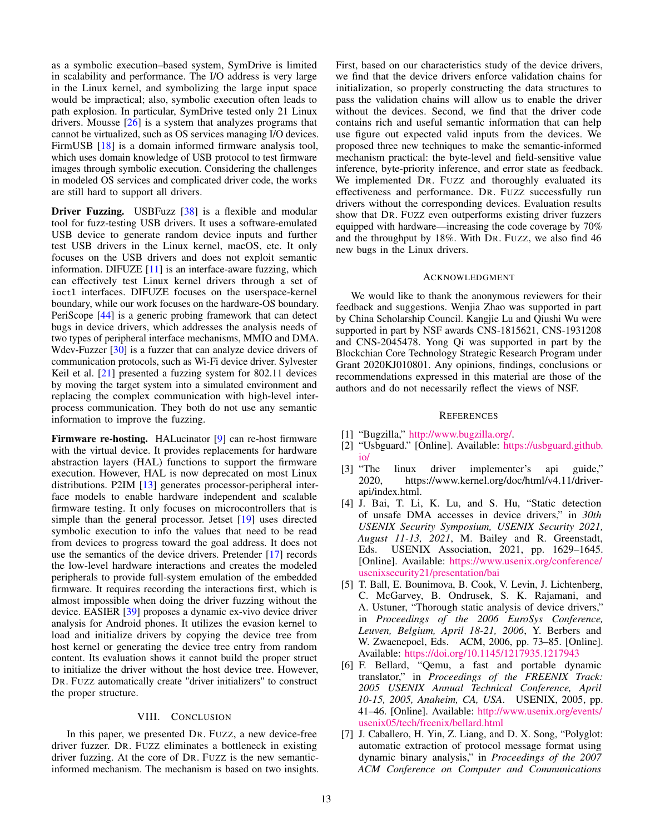as a symbolic execution–based system, SymDrive is limited in scalability and performance. The I/O address is very large in the Linux kernel, and symbolizing the large input space would be impractical; also, symbolic execution often leads to path explosion. In particular, SymDrive tested only 21 Linux drivers. Mousse  $[26]$  is a system that analyzes programs that cannot be virtualized, such as OS services managing I/O devices. FirmUSB [\[18\]](#page-13-16) is a domain informed firmware analysis tool, which uses domain knowledge of USB protocol to test firmware images through symbolic execution. Considering the challenges in modeled OS services and complicated driver code, the works are still hard to support all drivers.

Driver Fuzzing. USBFuzz [\[38\]](#page-14-18) is a flexible and modular tool for fuzz-testing USB drivers. It uses a software-emulated USB device to generate random device inputs and further test USB drivers in the Linux kernel, macOS, etc. It only focuses on the USB drivers and does not exploit semantic information. DIFUZE [\[11\]](#page-13-7) is an interface-aware fuzzing, which can effectively test Linux kernel drivers through a set of ioctl interfaces. DIFUZE focuses on the userspace-kernel boundary, while our work focuses on the hardware-OS boundary. PeriScope [\[44\]](#page-14-6) is a generic probing framework that can detect bugs in device drivers, which addresses the analysis needs of two types of peripheral interface mechanisms, MMIO and DMA. Wdev-Fuzzer [\[30\]](#page-14-19) is a fuzzer that can analyze device drivers of communication protocols, such as Wi-Fi device driver. Sylvester Keil et al. [\[21\]](#page-13-17) presented a fuzzing system for 802.11 devices by moving the target system into a simulated environment and replacing the complex communication with high-level interprocess communication. They both do not use any semantic information to improve the fuzzing.

Firmware re-hosting. HALucinator [\[9\]](#page-13-18) can re-host firmware with the virtual device. It provides replacements for hardware abstraction layers (HAL) functions to support the firmware execution. However, HAL is now deprecated on most Linux distributions. P2IM [\[13\]](#page-13-19) generates processor-peripheral interface models to enable hardware independent and scalable firmware testing. It only focuses on microcontrollers that is simple than the general processor. Jetset [\[19\]](#page-13-20) uses directed symbolic execution to info the values that need to be read from devices to progress toward the goal address. It does not use the semantics of the device drivers. Pretender [\[17\]](#page-13-21) records the low-level hardware interactions and creates the modeled peripherals to provide full-system emulation of the embedded firmware. It requires recording the interactions first, which is almost impossible when doing the driver fuzzing without the device. EASIER [\[39\]](#page-14-20) proposes a dynamic ex-vivo device driver analysis for Android phones. It utilizes the evasion kernel to load and initialize drivers by copying the device tree from host kernel or generating the device tree entry from random content. Its evaluation shows it cannot build the proper struct to initialize the driver without the host device tree. However, DR. FUZZ automatically create "driver initializers" to construct the proper structure.

## VIII. CONCLUSION

<span id="page-12-3"></span>In this paper, we presented DR. FUZZ, a new device-free driver fuzzer. DR. FUZZ eliminates a bottleneck in existing driver fuzzing. At the core of DR. FUZZ is the new semanticinformed mechanism. The mechanism is based on two insights. First, based on our characteristics study of the device drivers, we find that the device drivers enforce validation chains for initialization, so properly constructing the data structures to pass the validation chains will allow us to enable the driver without the devices. Second, we find that the driver code contains rich and useful semantic information that can help use figure out expected valid inputs from the devices. We proposed three new techniques to make the semantic-informed mechanism practical: the byte-level and field-sensitive value inference, byte-priority inference, and error state as feedback. We implemented DR. FUZZ and thoroughly evaluated its effectiveness and performance. DR. FUZZ successfully run drivers without the corresponding devices. Evaluation results show that DR. FUZZ even outperforms existing driver fuzzers equipped with hardware—increasing the code coverage by 70% and the throughput by 18%. With DR. FUZZ, we also find 46 new bugs in the Linux drivers.

#### ACKNOWLEDGMENT

We would like to thank the anonymous reviewers for their feedback and suggestions. Wenjia Zhao was supported in part by China Scholarship Council. Kangjie Lu and Qiushi Wu were supported in part by NSF awards CNS-1815621, CNS-1931208 and CNS-2045478. Yong Qi was supported in part by the Blockchian Core Technology Strategic Research Program under Grant 2020KJ010801. Any opinions, findings, conclusions or recommendations expressed in this material are those of the authors and do not necessarily reflect the views of NSF.

#### **REFERENCES**

- <span id="page-12-5"></span>[1] "Bugzilla," [http://www.bugzilla.org/.](http://www.bugzilla.org/)
- <span id="page-12-0"></span>[2] "Usbguard." [Online]. Available: [https://usbguard.github.](https://usbguard.github.io/)  $\frac{i\omega}{[3]}$  "The
- <span id="page-12-4"></span>linux driver implementer's api guide," 2020, https://www.kernel.org/doc/html/v4.11/driverapi/index.html.
- <span id="page-12-7"></span>[4] J. Bai, T. Li, K. Lu, and S. Hu, "Static detection of unsafe DMA accesses in device drivers," in *30th USENIX Security Symposium, USENIX Security 2021, August 11-13, 2021*, M. Bailey and R. Greenstadt, Eds. USENIX Association, 2021, pp. 1629–1645. [Online]. Available: [https://www.usenix.org/conference/](https://www.usenix.org/conference/usenixsecurity21/presentation/bai) [usenixsecurity21/presentation/bai](https://www.usenix.org/conference/usenixsecurity21/presentation/bai)
- <span id="page-12-6"></span>[5] T. Ball, E. Bounimova, B. Cook, V. Levin, J. Lichtenberg, C. McGarvey, B. Ondrusek, S. K. Rajamani, and A. Ustuner, "Thorough static analysis of device drivers," in *Proceedings of the 2006 EuroSys Conference, Leuven, Belgium, April 18-21, 2006*, Y. Berbers and W. Zwaenepoel, Eds. ACM, 2006, pp. 73–85. [Online]. Available: <https://doi.org/10.1145/1217935.1217943>
- <span id="page-12-1"></span>[6] F. Bellard, "Qemu, a fast and portable dynamic translator," in *Proceedings of the FREENIX Track: 2005 USENIX Annual Technical Conference, April 10-15, 2005, Anaheim, CA, USA*. USENIX, 2005, pp. 41–46. [Online]. Available: [http://www.usenix.org/events/](http://www.usenix.org/events/usenix05/tech/freenix/bellard.html) [usenix05/tech/freenix/bellard.html](http://www.usenix.org/events/usenix05/tech/freenix/bellard.html)
- <span id="page-12-2"></span>[7] J. Caballero, H. Yin, Z. Liang, and D. X. Song, "Polyglot: automatic extraction of protocol message format using dynamic binary analysis," in *Proceedings of the 2007 ACM Conference on Computer and Communications*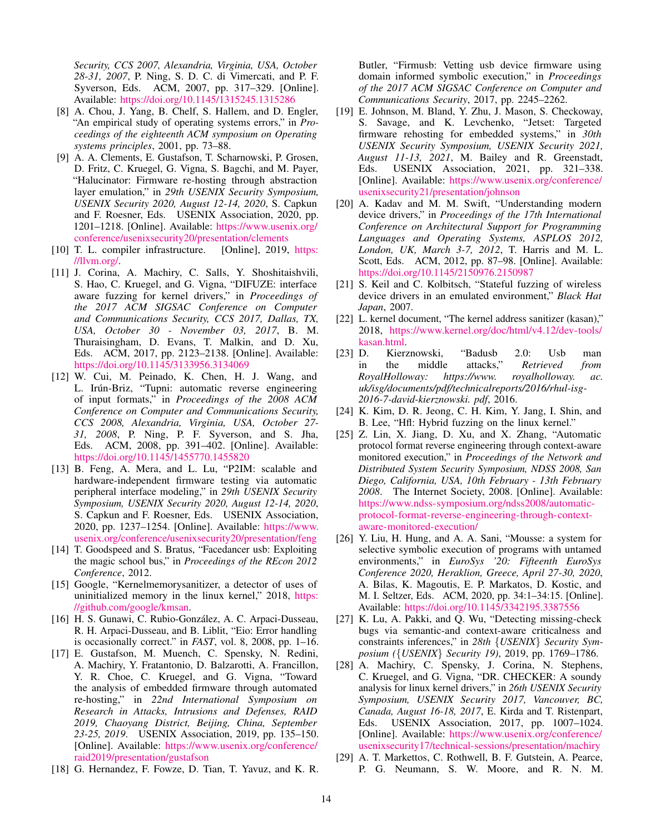*Security, CCS 2007, Alexandria, Virginia, USA, October 28-31, 2007*, P. Ning, S. D. C. di Vimercati, and P. F. Syverson, Eds. ACM, 2007, pp. 317–329. [Online]. Available: <https://doi.org/10.1145/1315245.1315286>

- <span id="page-13-1"></span>[8] A. Chou, J. Yang, B. Chelf, S. Hallem, and D. Engler, "An empirical study of operating systems errors," in *Proceedings of the eighteenth ACM symposium on Operating systems principles*, 2001, pp. 73–88.
- <span id="page-13-18"></span>[9] A. A. Clements, E. Gustafson, T. Scharnowski, P. Grosen, D. Fritz, C. Kruegel, G. Vigna, S. Bagchi, and M. Payer, "Halucinator: Firmware re-hosting through abstraction layer emulation," in *29th USENIX Security Symposium, USENIX Security 2020, August 12-14, 2020*, S. Capkun and F. Roesner, Eds. USENIX Association, 2020, pp. 1201–1218. [Online]. Available: [https://www.usenix.org/](https://www.usenix.org/conference/usenixsecurity20/presentation/clements) [conference/usenixsecurity20/presentation/clements](https://www.usenix.org/conference/usenixsecurity20/presentation/clements)
- <span id="page-13-12"></span>[10] T. L. compiler infrastructure. [Online], 2019, [https:](https://llvm.org/) [//llvm.org/.](https://llvm.org/)
- <span id="page-13-7"></span>[11] J. Corina, A. Machiry, C. Salls, Y. Shoshitaishvili, S. Hao, C. Kruegel, and G. Vigna, "DIFUZE: interface aware fuzzing for kernel drivers," in *Proceedings of the 2017 ACM SIGSAC Conference on Computer and Communications Security, CCS 2017, Dallas, TX, USA, October 30 - November 03, 2017*, B. M. Thuraisingham, D. Evans, T. Malkin, and D. Xu, Eds. ACM, 2017, pp. 2123–2138. [Online]. Available: <https://doi.org/10.1145/3133956.3134069>
- <span id="page-13-8"></span>[12] W. Cui, M. Peinado, K. Chen, H. J. Wang, and L. Irún-Briz, "Tupni: automatic reverse engineering of input formats," in *Proceedings of the 2008 ACM Conference on Computer and Communications Security, CCS 2008, Alexandria, Virginia, USA, October 27- 31, 2008*, P. Ning, P. F. Syverson, and S. Jha, Eds. ACM, 2008, pp. 391–402. [Online]. Available: <https://doi.org/10.1145/1455770.1455820>
- <span id="page-13-19"></span>[13] B. Feng, A. Mera, and L. Lu, "P2IM: scalable and hardware-independent firmware testing via automatic peripheral interface modeling," in *29th USENIX Security Symposium, USENIX Security 2020, August 12-14, 2020*, S. Capkun and F. Roesner, Eds. USENIX Association, 2020, pp. 1237–1254. [Online]. Available: [https://www.](https://www.usenix.org/conference/usenixsecurity20/presentation/feng) [usenix.org/conference/usenixsecurity20/presentation/feng](https://www.usenix.org/conference/usenixsecurity20/presentation/feng)
- <span id="page-13-3"></span>[14] T. Goodspeed and S. Bratus, "Facedancer usb: Exploiting the magic school bus," in *Proceedings of the REcon 2012 Conference*, 2012.
- <span id="page-13-6"></span>[15] Google, "Kernelmemorysanitizer, a detector of uses of uninitialized memory in the linux kernel," 2018, [https:](https://github.com/google/kmsan) [//github.com/google/kmsan.](https://github.com/google/kmsan)
- <span id="page-13-11"></span>[16] H. S. Gunawi, C. Rubio-González, A. C. Arpaci-Dusseau, R. H. Arpaci-Dusseau, and B. Liblit, "Eio: Error handling is occasionally correct." in *FAST*, vol. 8, 2008, pp. 1–16.
- <span id="page-13-21"></span>[17] E. Gustafson, M. Muench, C. Spensky, N. Redini, A. Machiry, Y. Fratantonio, D. Balzarotti, A. Francillon, Y. R. Choe, C. Kruegel, and G. Vigna, "Toward the analysis of embedded firmware through automated re-hosting," in *22nd International Symposium on Research in Attacks, Intrusions and Defenses, RAID 2019, Chaoyang District, Beijing, China, September 23-25, 2019*. USENIX Association, 2019, pp. 135–150. [Online]. Available: [https://www.usenix.org/conference/](https://www.usenix.org/conference/raid2019/presentation/gustafson) [raid2019/presentation/gustafson](https://www.usenix.org/conference/raid2019/presentation/gustafson)
- <span id="page-13-16"></span>[18] G. Hernandez, F. Fowze, D. Tian, T. Yavuz, and K. R.

Butler, "Firmusb: Vetting usb device firmware using domain informed symbolic execution," in *Proceedings of the 2017 ACM SIGSAC Conference on Computer and Communications Security*, 2017, pp. 2245–2262.

- <span id="page-13-20"></span>[19] E. Johnson, M. Bland, Y. Zhu, J. Mason, S. Checkoway, S. Savage, and K. Levchenko, "Jetset: Targeted firmware rehosting for embedded systems," in *30th USENIX Security Symposium, USENIX Security 2021, August 11-13, 2021*, M. Bailey and R. Greenstadt, Eds. USENIX Association, 2021, pp. 321–338. [Online]. Available: [https://www.usenix.org/conference/](https://www.usenix.org/conference/usenixsecurity21/presentation/johnson) [usenixsecurity21/presentation/johnson](https://www.usenix.org/conference/usenixsecurity21/presentation/johnson)
- <span id="page-13-0"></span>[20] A. Kadav and M. M. Swift, "Understanding modern device drivers," in *Proceedings of the 17th International Conference on Architectural Support for Programming Languages and Operating Systems, ASPLOS 2012, London, UK, March 3-7, 2012*, T. Harris and M. L. Scott, Eds. ACM, 2012, pp. 87–98. [Online]. Available: <https://doi.org/10.1145/2150976.2150987>
- <span id="page-13-17"></span>[21] S. Keil and C. Kolbitsch, "Stateful fuzzing of wireless device drivers in an emulated environment," *Black Hat Japan*, 2007.
- <span id="page-13-5"></span>[22] L. kernel document, "The kernel address sanitizer (kasan)," 2018, [https://www.kernel.org/doc/html/v4.12/dev-tools/](https://www.kernel.org/doc/html/v4.12/ dev-tools/kasan.html) [kasan.html.](https://www.kernel.org/doc/html/v4.12/ dev-tools/kasan.html)
- <span id="page-13-4"></span>[23] D. Kierznowski, "Badusb 2.0: Usb man in the middle attacks," *Retrieved from RoyalHolloway: https://www. royalholloway. ac. uk/isg/documents/pdf/technicalreports/2016/rhul-isg-2016-7-david-kierznowski. pdf*, 2016.
- <span id="page-13-13"></span>[24] K. Kim, D. R. Jeong, C. H. Kim, Y. Jang, I. Shin, and B. Lee, "Hfl: Hybrid fuzzing on the linux kernel."
- <span id="page-13-9"></span>[25] Z. Lin, X. Jiang, D. Xu, and X. Zhang, "Automatic protocol format reverse engineering through context-aware monitored execution," in *Proceedings of the Network and Distributed System Security Symposium, NDSS 2008, San Diego, California, USA, 10th February - 13th February 2008*. The Internet Society, 2008. [Online]. Available: [https://www.ndss-symposium.org/ndss2008/automatic](https://www.ndss-symposium.org/ndss2008/automatic-protocol-format-reverse-engineering-through-context-aware-monitored-execution/)[protocol-format-reverse-engineering-through-context](https://www.ndss-symposium.org/ndss2008/automatic-protocol-format-reverse-engineering-through-context-aware-monitored-execution/)[aware-monitored-execution/](https://www.ndss-symposium.org/ndss2008/automatic-protocol-format-reverse-engineering-through-context-aware-monitored-execution/)
- <span id="page-13-15"></span>[26] Y. Liu, H. Hung, and A. A. Sani, "Mousse: a system for selective symbolic execution of programs with untamed environments," in *EuroSys '20: Fifteenth EuroSys Conference 2020, Heraklion, Greece, April 27-30, 2020*, A. Bilas, K. Magoutis, E. P. Markatos, D. Kostic, and M. I. Seltzer, Eds. ACM, 2020, pp. 34:1–34:15. [Online]. Available: <https://doi.org/10.1145/3342195.3387556>
- <span id="page-13-10"></span>[27] K. Lu, A. Pakki, and Q. Wu, "Detecting missing-check bugs via semantic-and context-aware criticalness and constraints inferences," in *28th* {*USENIX*} *Security Symposium (*{*USENIX*} *Security 19)*, 2019, pp. 1769–1786.
- <span id="page-13-14"></span>[28] A. Machiry, C. Spensky, J. Corina, N. Stephens, C. Kruegel, and G. Vigna, "DR. CHECKER: A soundy analysis for linux kernel drivers," in *26th USENIX Security Symposium, USENIX Security 2017, Vancouver, BC, Canada, August 16-18, 2017*, E. Kirda and T. Ristenpart, Eds. USENIX Association, 2017, pp. 1007–1024. [Online]. Available: [https://www.usenix.org/conference/](https://www.usenix.org/conference/usenixsecurity17/technical-sessions/presentation/machiry) [usenixsecurity17/technical-sessions/presentation/machiry](https://www.usenix.org/conference/usenixsecurity17/technical-sessions/presentation/machiry)
- <span id="page-13-2"></span>[29] A. T. Markettos, C. Rothwell, B. F. Gutstein, A. Pearce, P. G. Neumann, S. W. Moore, and R. N. M.